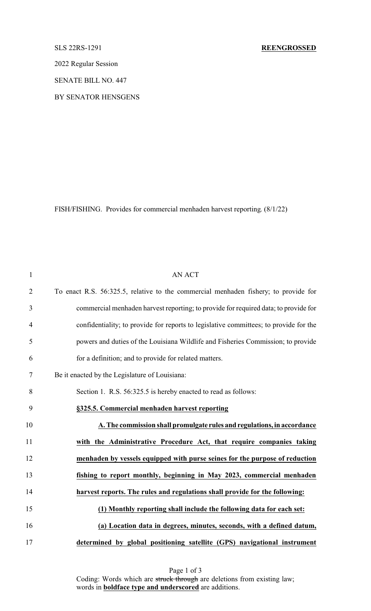2022 Regular Session

SENATE BILL NO. 447

BY SENATOR HENSGENS

FISH/FISHING. Provides for commercial menhaden harvest reporting. (8/1/22)

| $\mathbf{1}$   | <b>AN ACT</b>                                                                         |
|----------------|---------------------------------------------------------------------------------------|
| $\overline{2}$ | To enact R.S. 56:325.5, relative to the commercial menhaden fishery; to provide for   |
| $\mathfrak{Z}$ | commercial menhaden harvest reporting; to provide for required data; to provide for   |
| $\overline{4}$ | confidentiality; to provide for reports to legislative committees; to provide for the |
| 5              | powers and duties of the Louisiana Wildlife and Fisheries Commission; to provide      |
| 6              | for a definition; and to provide for related matters.                                 |
| $\tau$         | Be it enacted by the Legislature of Louisiana:                                        |
| 8              | Section 1. R.S. 56:325.5 is hereby enacted to read as follows:                        |
| 9              | §325.5. Commercial menhaden harvest reporting                                         |
| 10             | A. The commission shall promulgate rules and regulations, in accordance               |
| 11             | with the Administrative Procedure Act, that require companies taking                  |
| 12             | menhaden by vessels equipped with purse seines for the purpose of reduction           |
| 13             | fishing to report monthly, beginning in May 2023, commercial menhaden                 |
| 14             | harvest reports. The rules and regulations shall provide for the following:           |
| 15             | (1) Monthly reporting shall include the following data for each set:                  |
| 16             | (a) Location data in degrees, minutes, seconds, with a defined datum,                 |
| 17             | determined by global positioning satellite (GPS) navigational instrument              |

Page 1 of 3 Coding: Words which are struck through are deletions from existing law; words in **boldface type and underscored** are additions.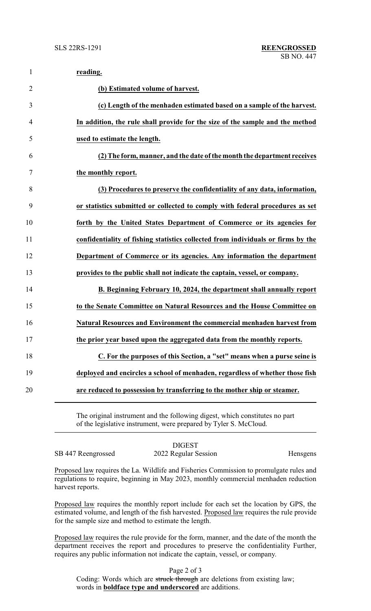| $\mathbf{1}$   | reading.                                                                         |
|----------------|----------------------------------------------------------------------------------|
| $\overline{2}$ | (b) Estimated volume of harvest.                                                 |
| 3              | (c) Length of the menhaden estimated based on a sample of the harvest.           |
| 4              | In addition, the rule shall provide for the size of the sample and the method    |
| 5              | used to estimate the length.                                                     |
| 6              | (2) The form, manner, and the date of the month the department receives          |
| 7              | the monthly report.                                                              |
| 8              | (3) Procedures to preserve the confidentiality of any data, information,         |
| 9              | or statistics submitted or collected to comply with federal procedures as set    |
| 10             | forth by the United States Department of Commerce or its agencies for            |
| 11             | confidentiality of fishing statistics collected from individuals or firms by the |
| 12             | Department of Commerce or its agencies. Any information the department           |
| 13             | provides to the public shall not indicate the captain, vessel, or company.       |
| 14             | B. Beginning February 10, 2024, the department shall annually report             |
| 15             | to the Senate Committee on Natural Resources and the House Committee on          |
| 16             | Natural Resources and Environment the commercial menhaden harvest from           |
| 17             | the prior year based upon the aggregated data from the monthly reports.          |
| 18             | C. For the purposes of this Section, a "set" means when a purse seine is         |
| 19             | deployed and encircles a school of menhaden, regardless of whether those fish    |
| 20             | are reduced to possession by transferring to the mother ship or steamer.         |
|                |                                                                                  |

The original instrument and the following digest, which constitutes no part of the legislative instrument, were prepared by Tyler S. McCloud.

SB 447 Reengrossed 2022 Regular Session Hensgens

DIGEST

Proposed law requires the La. Wildlife and Fisheries Commission to promulgate rules and regulations to require, beginning in May 2023, monthly commercial menhaden reduction harvest reports.

Proposed law requires the monthly report include for each set the location by GPS, the estimated volume, and length of the fish harvested. Proposed law requires the rule provide for the sample size and method to estimate the length.

Proposed law requires the rule provide for the form, manner, and the date of the month the department receives the report and procedures to preserve the confidentiality Further, requires any public information not indicate the captain, vessel, or company.

Page 2 of 3

Coding: Words which are struck through are deletions from existing law; words in **boldface type and underscored** are additions.